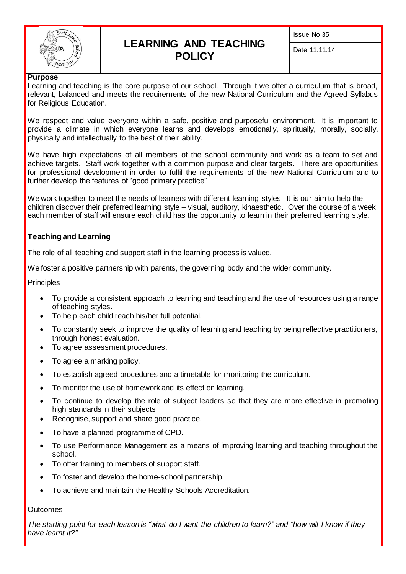

# **LEARNING AND TEACHING POLICY**

Issue No 35

Date 11.11.14

#### **Purpose**

Learning and teaching is the core purpose of our school. Through it we offer a curriculum that is broad, relevant, balanced and meets the requirements of the new National Curriculum and the Agreed Syllabus for Religious Education.

We respect and value everyone within a safe, positive and purposeful environment. It is important to provide a climate in which everyone learns and develops emotionally, spiritually, morally, socially, physically and intellectually to the best of their ability.

We have high expectations of all members of the school community and work as a team to set and achieve targets. Staff work together with a common purpose and clear targets. There are opportunities for professional development in order to fulfil the requirements of the new National Curriculum and to further develop the features of "good primary practice".

We work together to meet the needs of learners with different learning styles. It is our aim to help the children discover their preferred learning style – visual, auditory, kinaesthetic. Over the course of a week each member of staff will ensure each child has the opportunity to learn in their preferred learning style.

#### **Teaching and Learning**

The role of all teaching and support staff in the learning process is valued.

We foster a positive partnership with parents, the governing body and the wider community.

**Principles** 

- To provide a consistent approach to learning and teaching and the use of resources using a range of teaching styles.
- To help each child reach his/her full potential.
- To constantly seek to improve the quality of learning and teaching by being reflective practitioners, through honest evaluation.
- To agree assessment procedures.
- To agree a marking policy.
- To establish agreed procedures and a timetable for monitoring the curriculum.
- To monitor the use of homework and its effect on learning.
- To continue to develop the role of subject leaders so that they are more effective in promoting high standards in their subjects.
- Recognise, support and share good practice.
- To have a planned programme of CPD.
- To use Performance Management as a means of improving learning and teaching throughout the school.
- To offer training to members of support staff.
- To foster and develop the home-school partnership.
- To achieve and maintain the Healthy Schools Accreditation.

#### **Outcomes**

*The starting point for each lesson is "what do I want the children to learn?" and "how will I know if they have learnt it?"*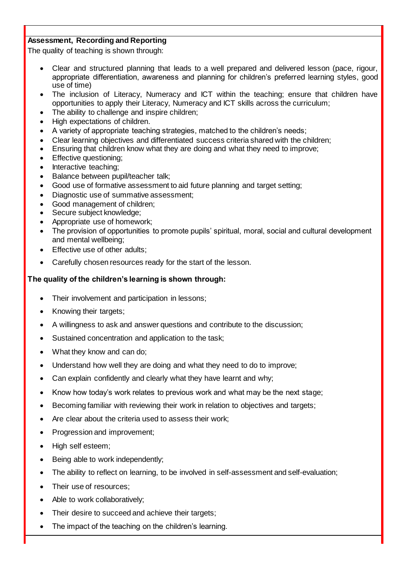# **Assessment, Recording and Reporting**

The quality of teaching is shown through:

- Clear and structured planning that leads to a well prepared and delivered lesson (pace, rigour, appropriate differentiation, awareness and planning for children's preferred learning styles, good use of time)
- The inclusion of Literacy, Numeracy and ICT within the teaching; ensure that children have opportunities to apply their Literacy, Numeracy and ICT skills across the curriculum;
- The ability to challenge and inspire children;
- High expectations of children.
- A variety of appropriate teaching strategies, matched to the children's needs;
- Clear learning objectives and differentiated success criteria shared with the children;
- Ensuring that children know what they are doing and what they need to improve;
- Effective questioning;
- Interactive teaching;
- Balance between pupil/teacher talk:
- Good use of formative assessment to aid future planning and target setting;
- Diagnostic use of summative assessment;
- Good management of children;
- Secure subject knowledge;
- Appropriate use of homework;
- The provision of opportunities to promote pupils' spiritual, moral, social and cultural development and mental wellbeing;
- Effective use of other adults;
- Carefully chosen resources ready for the start of the lesson.

#### **The quality of the children's learning is shown through:**

- Their involvement and participation in lessons;
- Knowing their targets;
- A willingness to ask and answer questions and contribute to the discussion;
- Sustained concentration and application to the task;
- What they know and can do;
- Understand how well they are doing and what they need to do to improve;
- Can explain confidently and clearly what they have learnt and why;
- Know how today's work relates to previous work and what may be the next stage;
- Becoming familiar with reviewing their work in relation to objectives and targets;
- Are clear about the criteria used to assess their work;
- Progression and improvement;
- High self esteem;
- Being able to work independently;
- The ability to reflect on learning, to be involved in self-assessment and self-evaluation;
- Their use of resources;
- Able to work collaboratively;
- Their desire to succeed and achieve their targets;
- The impact of the teaching on the children's learning.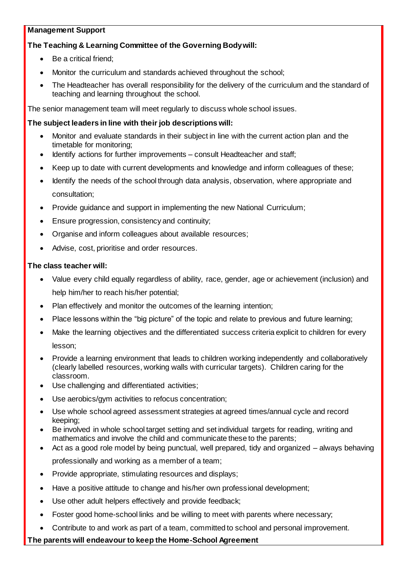# **Management Support**

# **The Teaching & Learning Committee of the Governing Body will:**

- Be a critical friend;
- Monitor the curriculum and standards achieved throughout the school;
- The Headteacher has overall responsibility for the delivery of the curriculum and the standard of teaching and learning throughout the school.

The senior management team will meet regularly to discuss whole school issues.

# **The subject leaders in line with their job descriptions will:**

- Monitor and evaluate standards in their subject in line with the current action plan and the timetable for monitoring;
- Identify actions for further improvements consult Headteacher and staff;
- Keep up to date with current developments and knowledge and inform colleagues of these;
- Identify the needs of the school through data analysis, observation, where appropriate and consultation;
- Provide guidance and support in implementing the new National Curriculum;
- **Ensure progression, consistency and continuity;**
- Organise and inform colleagues about available resources;
- Advise, cost, prioritise and order resources.

# **The class teacher will:**

- Value every child equally regardless of ability, race, gender, age or achievement (inclusion) and help him/her to reach his/her potential;
- Plan effectively and monitor the outcomes of the learning intention;
- Place lessons within the "big picture" of the topic and relate to previous and future learning;
- Make the learning objectives and the differentiated success criteria explicit to children for every lesson;
- Provide a learning environment that leads to children working independently and collaboratively (clearly labelled resources, working walls with curricular targets). Children caring for the classroom.
- Use challenging and differentiated activities;
- Use aerobics/gym activities to refocus concentration;
- Use whole school agreed assessment strategies at agreed times/annual cycle and record keeping;
- Be involved in whole school target setting and set individual targets for reading, writing and mathematics and involve the child and communicate these to the parents;
- Act as a good role model by being punctual, well prepared, tidy and organized always behaving professionally and working as a member of a team;
- Provide appropriate, stimulating resources and displays;
- Have a positive attitude to change and his/her own professional development;
- Use other adult helpers effectively and provide feedback;
- Foster good home-school links and be willing to meet with parents where necessary;
- Contribute to and work as part of a team, committed to school and personal improvement.

# **The parents will endeavour to keep the Home-School Agreement**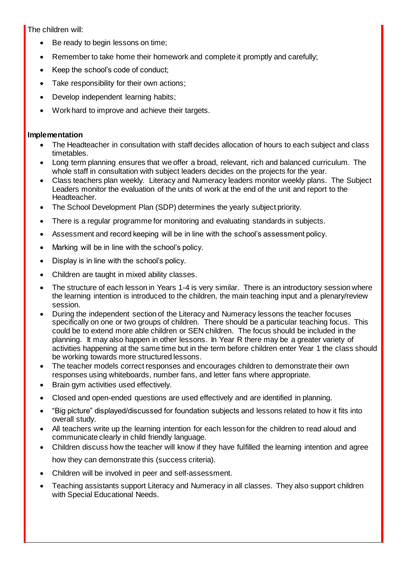The children will:

- Be ready to begin lessons on time;
- Remember to take home their homework and complete it promptly and carefully;
- Keep the school's code of conduct;
- Take responsibility for their own actions;
- Develop independent learning habits;
- Work hard to improve and achieve their targets.

# **Implementation**

- The Headteacher in consultation with staff decides allocation of hours to each subject and class timetables.
- Long term planning ensures that we offer a broad, relevant, rich and balanced curriculum. The whole staff in consultation with subject leaders decides on the projects for the year.
- Class teachers plan weekly. Literacy and Numeracy leaders monitor weekly plans. The Subject Leaders monitor the evaluation of the units of work at the end of the unit and report to the Headteacher.
- The School Development Plan (SDP) determines the yearly subject priority.
- There is a regular programme for monitoring and evaluating standards in subjects.
- Assessment and record keeping will be in line with the school's assessment policy.
- Marking will be in line with the school's policy.
- Display is in line with the school's policy.
- Children are taught in mixed ability classes.
- The structure of each lesson in Years 1-4 is very similar. There is an introductory session where the learning intention is introduced to the children, the main teaching input and a plenary/review session.
- During the independent section of the Literacy and Numeracy lessons the teacher focuses specifically on one or two groups of children. There should be a particular teaching focus. This could be to extend more able children or SEN children. The focus should be included in the planning. It may also happen in other lessons. In Year R there may be a greater variety of activities happening at the same time but in the term before children enter Year 1 the class should be working towards more structured lessons.
- The teacher models correct responses and encourages children to demonstrate their own responses using whiteboards, number fans, and letter fans where appropriate.
- Brain gym activities used effectively.
- Closed and open-ended questions are used effectively and are identified in planning.
- "Big picture" displayed/discussed for foundation subjects and lessons related to how it fits into overall study.
- All teachers write up the learning intention for each lesson for the children to read aloud and communicate clearly in child friendly language.
- Children discuss how the teacher will know if they have fulfilled the learning intention and agree how they can demonstrate this (success criteria).
- Children will be involved in peer and self-assessment.
- Teaching assistants support Literacy and Numeracy in all classes. They also support children with Special Educational Needs.